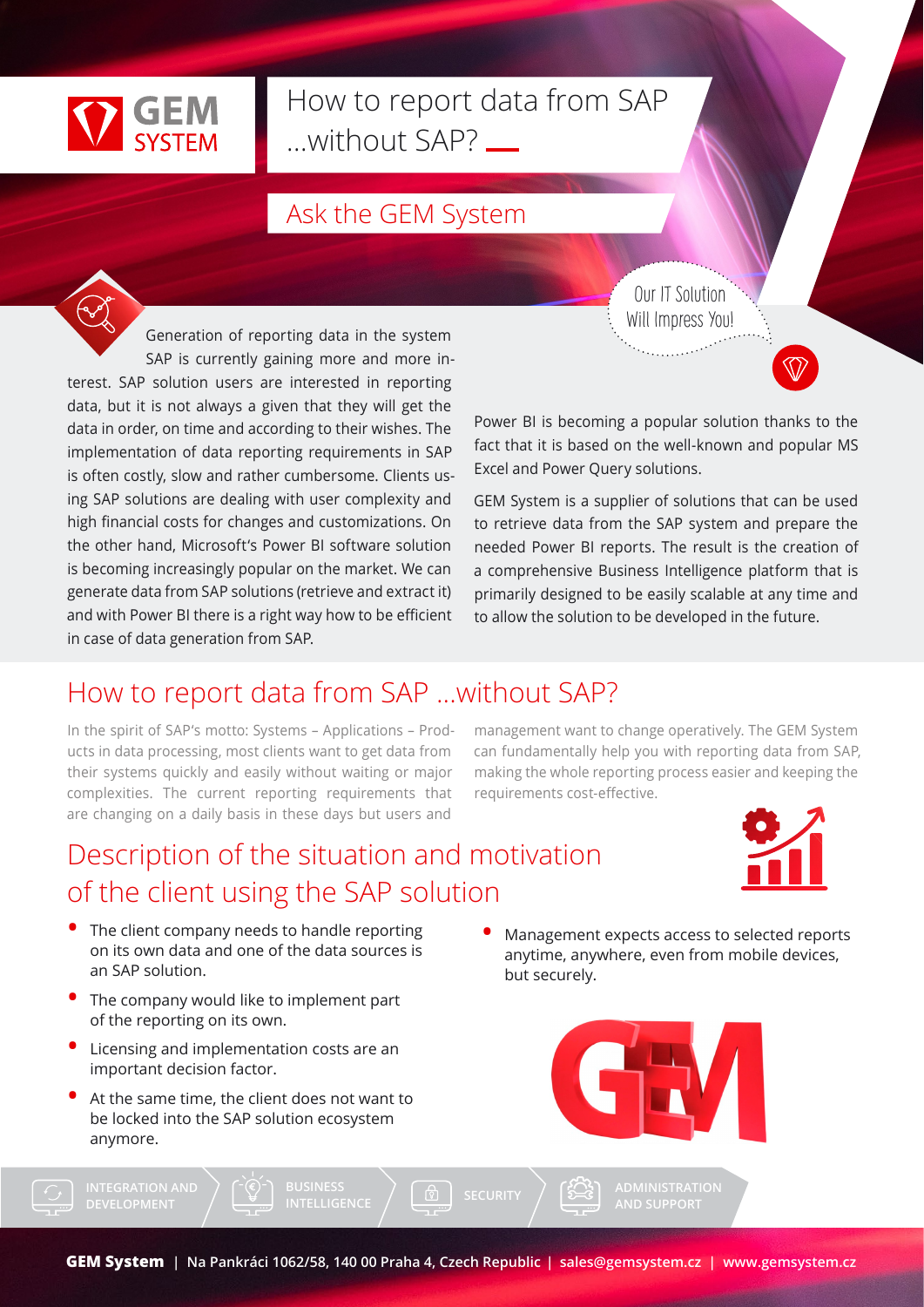

# How to report data from SAP ...without SAP?

### Ask the GEM System

Generation of reporting data in the system SAP is currently gaining more and more interest. SAP solution users are interested in reporting data, but it is not always a given that they will get the data in order, on time and according to their wishes. The implementation of data reporting requirements in SAP is often costly, slow and rather cumbersome. Clients using SAP solutions are dealing with user complexity and high financial costs for changes and customizations. On the other hand, Microsoft's Power BI software solution is becoming increasingly popular on the market. We can generate data from SAP solutions (retrieve and extract it) and with Power BI there is a right way how to be efficient in case of data generation from SAP.

Our IT Solution Will Impress You!

Power BI is becoming a popular solution thanks to the fact that it is based on the well-known and popular MS Excel and Power Query solutions.

GEM System is a supplier of solutions that can be used to retrieve data from the SAP system and prepare the needed Power BI reports. The result is the creation of a comprehensive Business Intelligence platform that is primarily designed to be easily scalable at any time and to allow the solution to be developed in the future.

### How to report data from SAP ...without SAP?

In the spirit of SAP's motto: Systems – Applications – Products in data processing, most clients want to get data from their systems quickly and easily without waiting or major complexities. The current reporting requirements that are changing on a daily basis in these days but users and

management want to change operatively. The GEM System can fundamentally help you with reporting data from SAP, making the whole reporting process easier and keeping the requirements cost-effective.

## Description of the situation and motivation of the client using the SAP solution



- The client company needs to handle reporting on its own data and one of the data sources is an SAP solution.
- The company would like to implement part of the reporting on its own.
- Licensing and implementation costs are an important decision factor.
- At the same time, the client does not want to be locked into the SAP solution ecosystem anymore.

**DEVELOPMENT**

but securely.

Management expects access to selected reports anytime, anywhere, even from mobile devices,



**AND SUPPORT**

**INTELLIGENCE**  $\left(\begin{array}{c} \boxed{0} \ \boxed{2} \end{array}\right)$  SECURITY  $\left(\begin{array}{c} \sqrt{2} \ \boxed{2} \end{array}\right)$  ADMINISTRATION